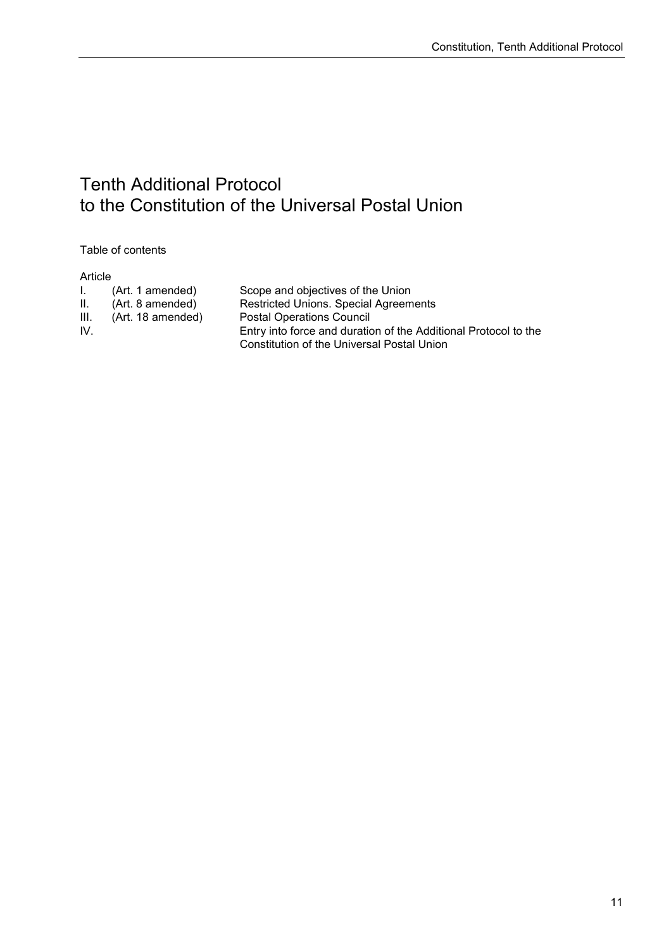## Tenth Additional Protocol to the Constitution of the Universal Postal Union

Table of contents

| ω | tici<br>۱Г |  |
|---|------------|--|
|   |            |  |

| I. . | (Art. 1 amended)  | Scope and objectives of the Union                               |
|------|-------------------|-----------------------------------------------------------------|
| Ш.   | (Art. 8 amended)  | <b>Restricted Unions. Special Agreements</b>                    |
| III. | (Art. 18 amended) | <b>Postal Operations Council</b>                                |
| IV.  |                   | Entry into force and duration of the Additional Protocol to the |
|      |                   | Constitution of the Universal Postal Union                      |
|      |                   |                                                                 |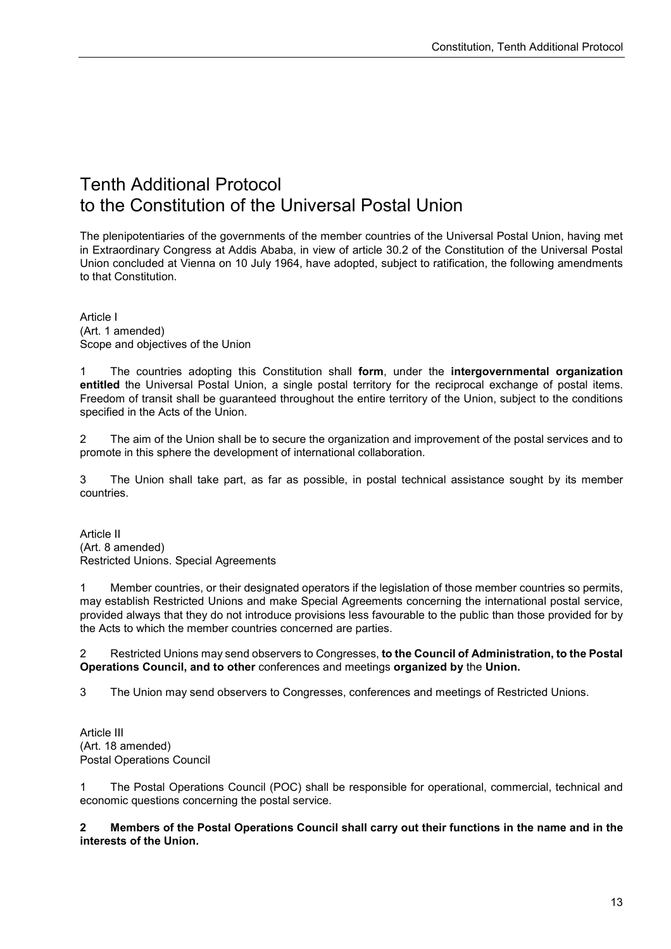## Tenth Additional Protocol to the Constitution of the Universal Postal Union

The plenipotentiaries of the governments of the member countries of the Universal Postal Union, having met in Extraordinary Congress at Addis Ababa, in view of article 30.2 of the Constitution of the Universal Postal Union concluded at Vienna on 10 July 1964, have adopted, subject to ratification, the following amendments to that Constitution.

Article I (Art. 1 amended) Scope and objectives of the Union

1 The countries adopting this Constitution shall **form**, under the **intergovernmental organization entitled** the Universal Postal Union, a single postal territory for the reciprocal exchange of postal items. Freedom of transit shall be guaranteed throughout the entire territory of the Union, subject to the conditions specified in the Acts of the Union.

2 The aim of the Union shall be to secure the organization and improvement of the postal services and to promote in this sphere the development of international collaboration.

3 The Union shall take part, as far as possible, in postal technical assistance sought by its member countries.

Article II (Art. 8 amended) Restricted Unions. Special Agreements

1 Member countries, or their designated operators if the legislation of those member countries so permits, may establish Restricted Unions and make Special Agreements concerning the international postal service, provided always that they do not introduce provisions less favourable to the public than those provided for by the Acts to which the member countries concerned are parties.

2 Restricted Unions may send observers to Congresses, **to the Council of Administration, to the Postal Operations Council, and to other** conferences and meetings **organized by** the **Union.**

3 The Union may send observers to Congresses, conferences and meetings of Restricted Unions.

Article III (Art. 18 amended) Postal Operations Council

1 The Postal Operations Council (POC) shall be responsible for operational, commercial, technical and economic questions concerning the postal service.

**2 Members of the Postal Operations Council shall carry out their functions in the name and in the interests of the Union.**